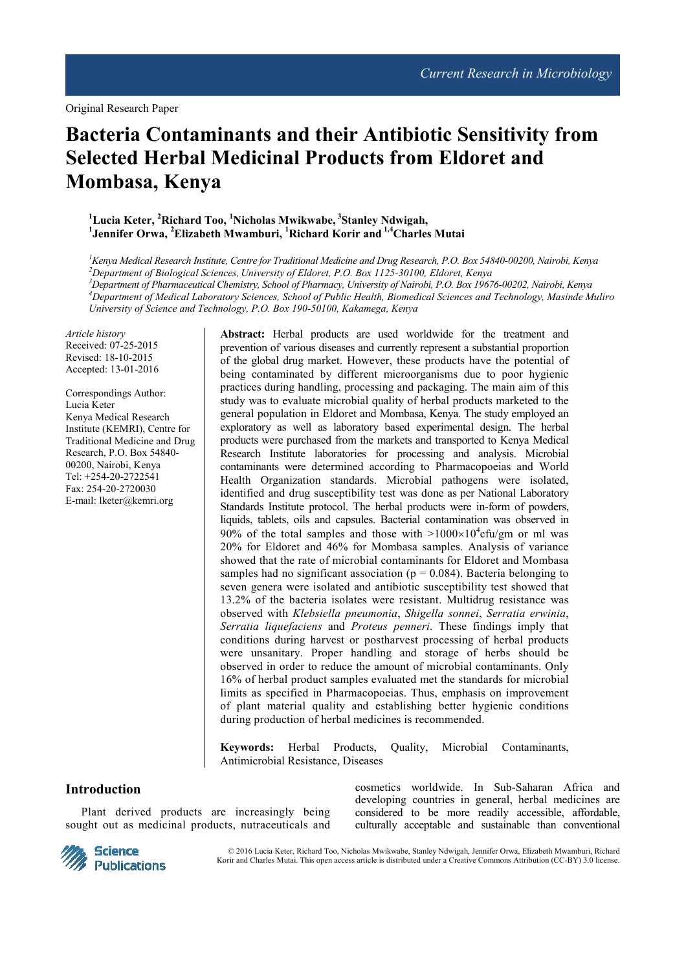# **Bacteria Contaminants and their Antibiotic Sensitivity from Selected Herbal Medicinal Products from Eldoret and Mombasa, Kenya**

# **<sup>1</sup>Lucia Keter, <sup>2</sup>Richard Too, <sup>1</sup>Nicholas Mwikwabe,<sup>3</sup>Stanley Ndwigah, 1 Jennifer Orwa, <sup>2</sup>Elizabeth Mwamburi, <sup>1</sup>Richard Korir and 1,4Charles Mutai**

*Kenya Medical Research Institute, Centre for Traditional Medicine and Drug Research, P.O. Box 54840-00200, Nairobi, Kenya Department of Biological Sciences, University of Eldoret, P.O. Box 1125-30100, Eldoret, Kenya Department of Pharmaceutical Chemistry, School of Pharmacy, University of Nairobi, P.O. Box 19676-00202, Nairobi, Kenya Department of Medical Laboratory Sciences, School of Public Health, Biomedical Sciences and Technology, Masinde Muliro University of Science and Technology, P.O. Box 190-50100, Kakamega, Kenya* 

*Article history*  Received: 07-25-2015 Revised: 18-10-2015 Accepted: 13-01-2016

Correspondings Author: Lucia Keter Kenya Medical Research Institute (KEMRI), Centre for Traditional Medicine and Drug Research, P.O. Box 54840- 00200, Nairobi, Kenya Tel: +254-20-2722541 Fax: 254-20-2720030 E-mail: lketer@kemri.org

**Abstract:** Herbal products are used worldwide for the treatment and prevention of various diseases and currently represent a substantial proportion of the global drug market. However, these products have the potential of being contaminated by different microorganisms due to poor hygienic practices during handling, processing and packaging. The main aim of this study was to evaluate microbial quality of herbal products marketed to the general population in Eldoret and Mombasa, Kenya. The study employed an exploratory as well as laboratory based experimental design. The herbal products were purchased from the markets and transported to Kenya Medical Research Institute laboratories for processing and analysis. Microbial contaminants were determined according to Pharmacopoeias and World Health Organization standards. Microbial pathogens were isolated, identified and drug susceptibility test was done as per National Laboratory Standards Institute protocol. The herbal products were in-form of powders, liquids, tablets, oils and capsules. Bacterial contamination was observed in 90% of the total samples and those with  $>1000\times10^4$  cfu/gm or ml was 20% for Eldoret and 46% for Mombasa samples. Analysis of variance showed that the rate of microbial contaminants for Eldoret and Mombasa samples had no significant association ( $p = 0.084$ ). Bacteria belonging to seven genera were isolated and antibiotic susceptibility test showed that 13.2% of the bacteria isolates were resistant. Multidrug resistance was observed with *Klebsiella pneumonia*, *Shigella sonnei*, *Serratia erwinia*, *Serratia liquefaciens* and *Proteus penneri*. These findings imply that conditions during harvest or postharvest processing of herbal products were unsanitary. Proper handling and storage of herbs should be observed in order to reduce the amount of microbial contaminants. Only 16% of herbal product samples evaluated met the standards for microbial limits as specified in Pharmacopoeias. Thus, emphasis on improvement of plant material quality and establishing better hygienic conditions during production of herbal medicines is recommended.

**Keywords:** Herbal Products, Quality, Microbial Contaminants, Antimicrobial Resistance, Diseases

# **Introduction**

Plant derived products are increasingly being sought out as medicinal products, nutraceuticals and



cosmetics worldwide. In Sub-Saharan Africa and developing countries in general, herbal medicines are considered to be more readily accessible, affordable, culturally acceptable and sustainable than conventional

© 2016 Lucia Keter, Richard Too, Nicholas Mwikwabe, Stanley Ndwigah, Jennifer Orwa, Elizabeth Mwamburi, Richard Korir and Charles Mutai. This open access article is distributed under a Creative Commons Attribution (CC-BY) 3.0 license.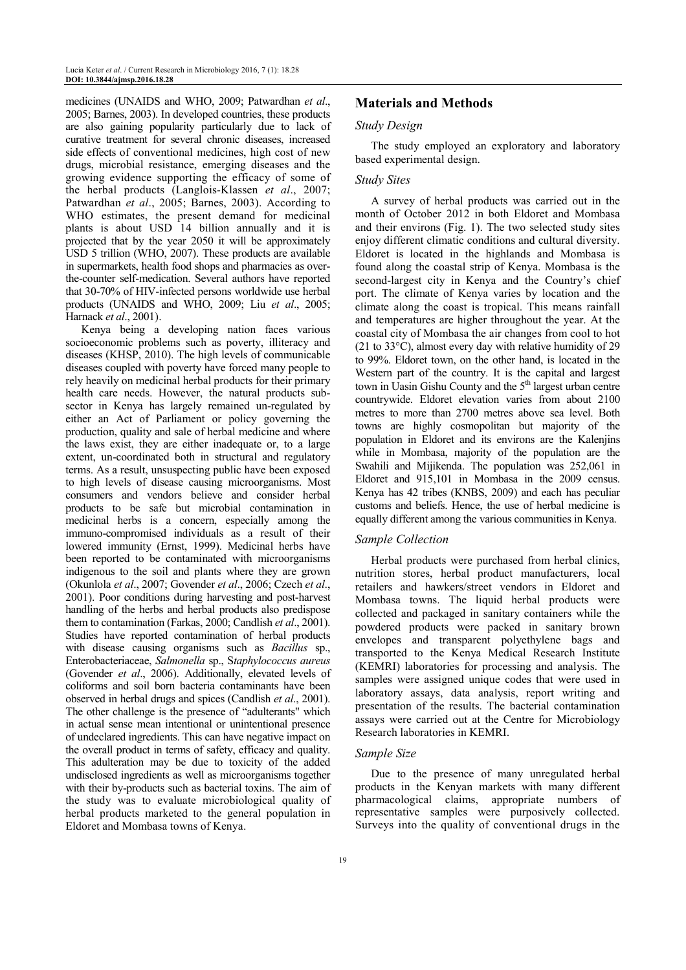medicines (UNAIDS and WHO, 2009; Patwardhan *et al*., 2005; Barnes, 2003). In developed countries, these products are also gaining popularity particularly due to lack of curative treatment for several chronic diseases, increased side effects of conventional medicines, high cost of new drugs, microbial resistance, emerging diseases and the growing evidence supporting the efficacy of some of the herbal products (Langlois-Klassen *et al*., 2007; Patwardhan *et al*., 2005; Barnes, 2003). According to WHO estimates, the present demand for medicinal plants is about USD 14 billion annually and it is projected that by the year 2050 it will be approximately USD 5 trillion (WHO, 2007). These products are available in supermarkets, health food shops and pharmacies as overthe-counter self-medication. Several authors have reported that 30-70% of HIV-infected persons worldwide use herbal products (UNAIDS and WHO, 2009; Liu *et al*., 2005; Harnack *et al*., 2001).

Kenya being a developing nation faces various socioeconomic problems such as poverty, illiteracy and diseases (KHSP, 2010). The high levels of communicable diseases coupled with poverty have forced many people to rely heavily on medicinal herbal products for their primary health care needs. However, the natural products subsector in Kenya has largely remained un-regulated by either an Act of Parliament or policy governing the production, quality and sale of herbal medicine and where the laws exist, they are either inadequate or, to a large extent, un-coordinated both in structural and regulatory terms. As a result, unsuspecting public have been exposed to high levels of disease causing microorganisms. Most consumers and vendors believe and consider herbal products to be safe but microbial contamination in medicinal herbs is a concern, especially among the immuno-compromised individuals as a result of their lowered immunity (Ernst, 1999). Medicinal herbs have been reported to be contaminated with microorganisms indigenous to the soil and plants where they are grown (Okunlola *et al*., 2007; Govender *et al*., 2006; Czech *et al*., 2001). Poor conditions during harvesting and post-harvest handling of the herbs and herbal products also predispose them to contamination (Farkas, 2000; Candlish *et al*., 2001). Studies have reported contamination of herbal products with disease causing organisms such as *Bacillus* sp., Enterobacteriaceae, *Salmonella* sp., S*taphylococcus aureus* (Govender *et al*., 2006). Additionally, elevated levels of coliforms and soil born bacteria contaminants have been observed in herbal drugs and spices (Candlish *et al*., 2001). The other challenge is the presence of "adulterants" which in actual sense mean intentional or unintentional presence of undeclared ingredients. This can have negative impact on the overall product in terms of safety, efficacy and quality. This adulteration may be due to toxicity of the added undisclosed ingredients as well as microorganisms together with their by-products such as bacterial toxins. The aim of the study was to evaluate microbiological quality of herbal products marketed to the general population in Eldoret and Mombasa towns of Kenya.

# **Materials and Methods**

#### *Study Design*

The study employed an exploratory and laboratory based experimental design.

#### *Study Sites*

A survey of herbal products was carried out in the month of October 2012 in both Eldoret and Mombasa and their environs (Fig. 1). The two selected study sites enjoy different climatic conditions and cultural diversity. Eldoret is located in the highlands and Mombasa is found along the coastal strip of Kenya. Mombasa is the second-largest city in Kenya and the Country's chief port. The climate of Kenya varies by location and the climate along the coast is tropical. This means rainfall and temperatures are higher throughout the year. At the coastal city of Mombasa the air changes from cool to hot (21 to 33°C), almost every day with relative humidity of 29 to 99%. Eldoret town, on the other hand, is located in the Western part of the country. It is the capital and largest town in Uasin Gishu County and the  $5<sup>th</sup>$  largest urban centre countrywide. Eldoret elevation varies from about 2100 metres to more than 2700 metres above sea level. Both towns are highly cosmopolitan but majority of the population in Eldoret and its environs are the Kalenjins while in Mombasa, majority of the population are the Swahili and Mijikenda. The population was 252,061 in Eldoret and 915,101 in Mombasa in the 2009 census. Kenya has 42 tribes (KNBS, 2009) and each has peculiar customs and beliefs. Hence, the use of herbal medicine is equally different among the various communities in Kenya.

## *Sample Collection*

Herbal products were purchased from herbal clinics, nutrition stores, herbal product manufacturers, local retailers and hawkers/street vendors in Eldoret and Mombasa towns. The liquid herbal products were collected and packaged in sanitary containers while the powdered products were packed in sanitary brown envelopes and transparent polyethylene bags and transported to the Kenya Medical Research Institute (KEMRI) laboratories for processing and analysis. The samples were assigned unique codes that were used in laboratory assays, data analysis, report writing and presentation of the results. The bacterial contamination assays were carried out at the Centre for Microbiology Research laboratories in KEMRI.

## *Sample Size*

Due to the presence of many unregulated herbal products in the Kenyan markets with many different pharmacological claims, appropriate numbers of representative samples were purposively collected. Surveys into the quality of conventional drugs in the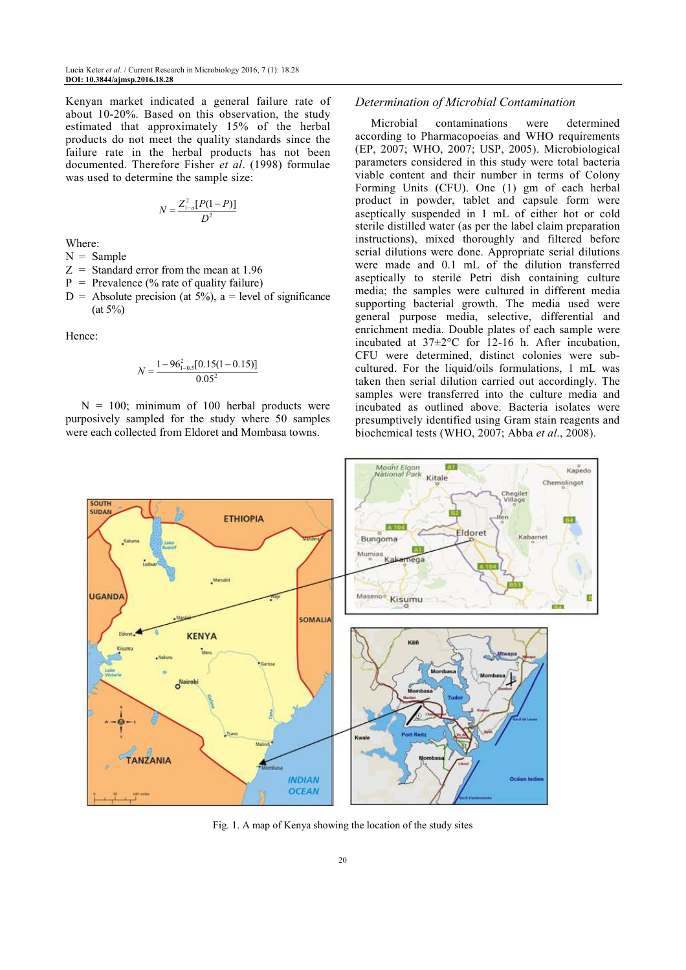Kenyan market indicated a general failure rate of about 10-20%. Based on this observation, the study estimated that approximately 15% of the herbal products do not meet the quality standards since the failure rate in the herbal products has not been documented. Therefore Fisher *et al*. (1998) formulae was used to determine the sample size:

$$
N = \frac{Z_{1-a}^2 [P(1-P)]}{D^2}
$$

Where:

 $N =$  Sample

- $Z =$  Standard error from the mean at 1.96
- $P = Prevalence (% rate of quality failure)$
- $D =$  Absolute precision (at 5%), a = level of significance  $(at 5\%)$

Hence:

$$
N = \frac{1 - 96_{1-0.5}^{2}[0.15(1 - 0.15)]}{0.05^{2}}
$$

 $N = 100$ ; minimum of 100 herbal products were purposively sampled for the study where 50 samples were each collected from Eldoret and Mombasa towns.

## *Determination of Microbial Contamination*

Microbial contaminations were determined according to Pharmacopoeias and WHO requirements (EP, 2007; WHO, 2007; USP, 2005). Microbiological parameters considered in this study were total bacteria viable content and their number in terms of Colony Forming Units (CFU). One (1) gm of each herbal product in powder, tablet and capsule form were aseptically suspended in 1 mL of either hot or cold sterile distilled water (as per the label claim preparation instructions), mixed thoroughly and filtered before serial dilutions were done. Appropriate serial dilutions were made and 0.1 mL of the dilution transferred aseptically to sterile Petri dish containing culture media; the samples were cultured in different media supporting bacterial growth. The media used were general purpose media, selective, differential and enrichment media. Double plates of each sample were incubated at 37±2°C for 12-16 h. After incubation, CFU were determined, distinct colonies were subcultured. For the liquid/oils formulations, 1 mL was taken then serial dilution carried out accordingly. The samples were transferred into the culture media and incubated as outlined above. Bacteria isolates were presumptively identified using Gram stain reagents and biochemical tests (WHO, 2007; Abba *et al*., 2008).



Fig. 1. A map of Kenya showing the location of the study sites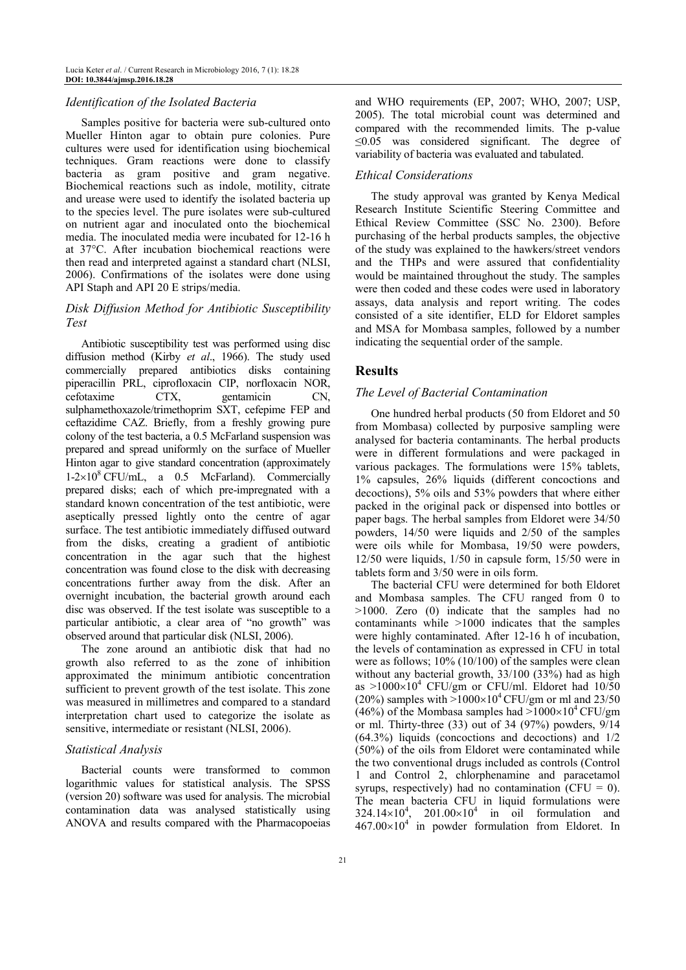## *Identification of the Isolated Bacteria*

Samples positive for bacteria were sub-cultured onto Mueller Hinton agar to obtain pure colonies. Pure cultures were used for identification using biochemical techniques. Gram reactions were done to classify bacteria as gram positive and gram negative. Biochemical reactions such as indole, motility, citrate and urease were used to identify the isolated bacteria up to the species level. The pure isolates were sub-cultured on nutrient agar and inoculated onto the biochemical media. The inoculated media were incubated for 12-16 h at 37°C. After incubation biochemical reactions were then read and interpreted against a standard chart (NLSI, 2006). Confirmations of the isolates were done using API Staph and API 20 E strips/media.

## *Disk Diffusion Method for Antibiotic Susceptibility Test*

Antibiotic susceptibility test was performed using disc diffusion method (Kirby *et al*., 1966). The study used commercially prepared antibiotics disks containing piperacillin PRL, ciprofloxacin CIP, norfloxacin NOR, cefotaxime CTX, gentamicin CN, sulphamethoxazole/trimethoprim SXT, cefepime FEP and ceftazidime CAZ. Briefly, from a freshly growing pure colony of the test bacteria, a 0.5 McFarland suspension was prepared and spread uniformly on the surface of Mueller Hinton agar to give standard concentration (approximately  $1-2\times10^8$  CFU/mL, a 0.5 McFarland). Commercially prepared disks; each of which pre-impregnated with a standard known concentration of the test antibiotic, were aseptically pressed lightly onto the centre of agar surface. The test antibiotic immediately diffused outward from the disks, creating a gradient of antibiotic concentration in the agar such that the highest concentration was found close to the disk with decreasing concentrations further away from the disk. After an overnight incubation, the bacterial growth around each disc was observed. If the test isolate was susceptible to a particular antibiotic, a clear area of "no growth" was observed around that particular disk (NLSI, 2006).

The zone around an antibiotic disk that had no growth also referred to as the zone of inhibition approximated the minimum antibiotic concentration sufficient to prevent growth of the test isolate. This zone was measured in millimetres and compared to a standard interpretation chart used to categorize the isolate as sensitive, intermediate or resistant (NLSI, 2006).

## *Statistical Analysis*

Bacterial counts were transformed to common logarithmic values for statistical analysis. The SPSS (version 20) software was used for analysis. The microbial contamination data was analysed statistically using ANOVA and results compared with the Pharmacopoeias and WHO requirements (EP, 2007; WHO, 2007; USP, 2005). The total microbial count was determined and compared with the recommended limits. The p-value ≤0.05 was considered significant. The degree of variability of bacteria was evaluated and tabulated.

#### *Ethical Considerations*

The study approval was granted by Kenya Medical Research Institute Scientific Steering Committee and Ethical Review Committee (SSC No. 2300). Before purchasing of the herbal products samples, the objective of the study was explained to the hawkers/street vendors and the THPs and were assured that confidentiality would be maintained throughout the study. The samples were then coded and these codes were used in laboratory assays, data analysis and report writing. The codes consisted of a site identifier, ELD for Eldoret samples and MSA for Mombasa samples, followed by a number indicating the sequential order of the sample.

## **Results**

#### *The Level of Bacterial Contamination*

One hundred herbal products (50 from Eldoret and 50 from Mombasa) collected by purposive sampling were analysed for bacteria contaminants. The herbal products were in different formulations and were packaged in various packages. The formulations were 15% tablets, 1% capsules, 26% liquids (different concoctions and decoctions), 5% oils and 53% powders that where either packed in the original pack or dispensed into bottles or paper bags. The herbal samples from Eldoret were 34/50 powders, 14/50 were liquids and 2/50 of the samples were oils while for Mombasa, 19/50 were powders, 12/50 were liquids, 1/50 in capsule form, 15/50 were in tablets form and 3/50 were in oils form.

The bacterial CFU were determined for both Eldoret and Mombasa samples. The CFU ranged from 0 to >1000. Zero (0) indicate that the samples had no contaminants while >1000 indicates that the samples were highly contaminated. After 12-16 h of incubation, the levels of contamination as expressed in CFU in total were as follows; 10% (10/100) of the samples were clean without any bacterial growth, 33/100 (33%) had as high as  $>1000\times10^4$  CFU/gm or CFU/ml. Eldoret had  $10/50$ (20%) samples with  $>1000\times10^4$  CFU/gm or ml and 23/50 (46%) of the Mombasa samples had  $>1000\times10^4$  CFU/gm or ml. Thirty-three (33) out of 34 (97%) powders, 9/14 (64.3%) liquids (concoctions and decoctions) and 1/2 (50%) of the oils from Eldoret were contaminated while the two conventional drugs included as controls (Control 1 and Control 2, chlorphenamine and paracetamol syrups, respectively) had no contamination (CFU =  $0$ ). The mean bacteria CFU in liquid formulations were  $324.14\times10^{4}$ ,  $201.00\times10^{4}$  in oil formulation and  $467.00\times10^{4}$  in powder formulation from Eldoret. In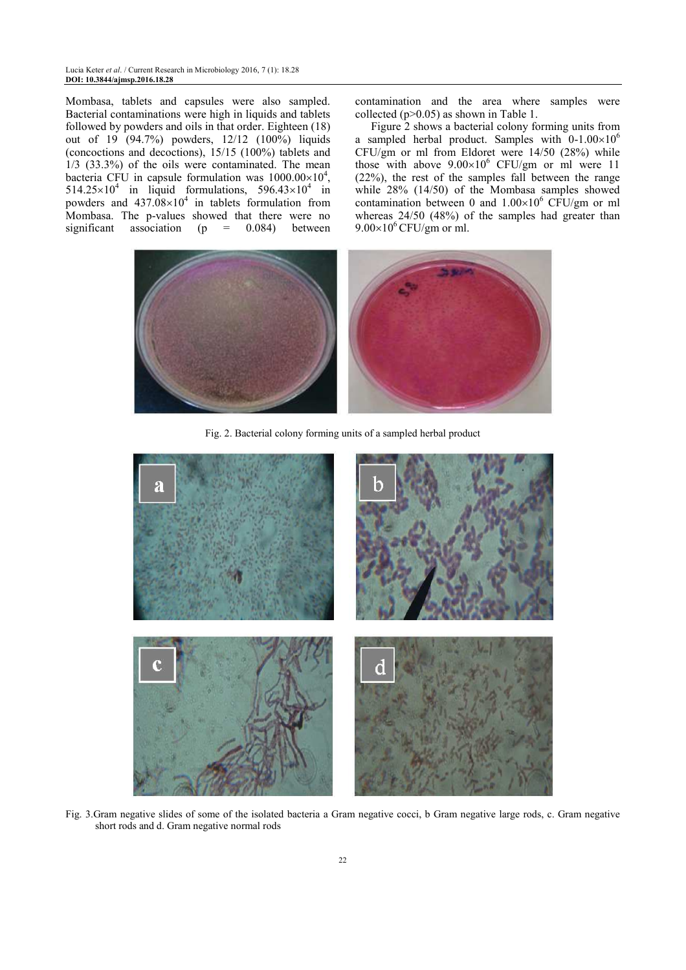Mombasa, tablets and capsules were also sampled. Bacterial contaminations were high in liquids and tablets followed by powders and oils in that order. Eighteen (18) out of 19 (94.7%) powders, 12/12 (100%) liquids (concoctions and decoctions), 15/15 (100%) tablets and 1/3 (33.3%) of the oils were contaminated. The mean bacteria CFU in capsule formulation was  $1000.00\times10^4$ ,  $514.25 \times 10^4$  in liquid formulations,  $596.43 \times 10^4$  in powders and  $437.08 \times 10^4$  in tablets formulation from Mombasa. The p-values showed that there were no significant association  $(p = 0.084)$  between

contamination and the area where samples were collected (p>0.05) as shown in Table 1.

Figure 2 shows a bacterial colony forming units from a sampled herbal product. Samples with  $0-1.00\times10^{6}$ CFU/gm or ml from Eldoret were 14/50 (28%) while those with above  $9.00 \times 10^6$  CFU/gm or ml were 11 (22%), the rest of the samples fall between the range while 28% (14/50) of the Mombasa samples showed contamination between 0 and  $1.00\times10^{6}$  CFU/gm or ml whereas 24/50 (48%) of the samples had greater than  $9.00\times10^{6}$  CFU/gm or ml.



Fig. 2. Bacterial colony forming units of a sampled herbal product



Fig. 3.Gram negative slides of some of the isolated bacteria a Gram negative cocci, b Gram negative large rods, c. Gram negative short rods and d. Gram negative normal rods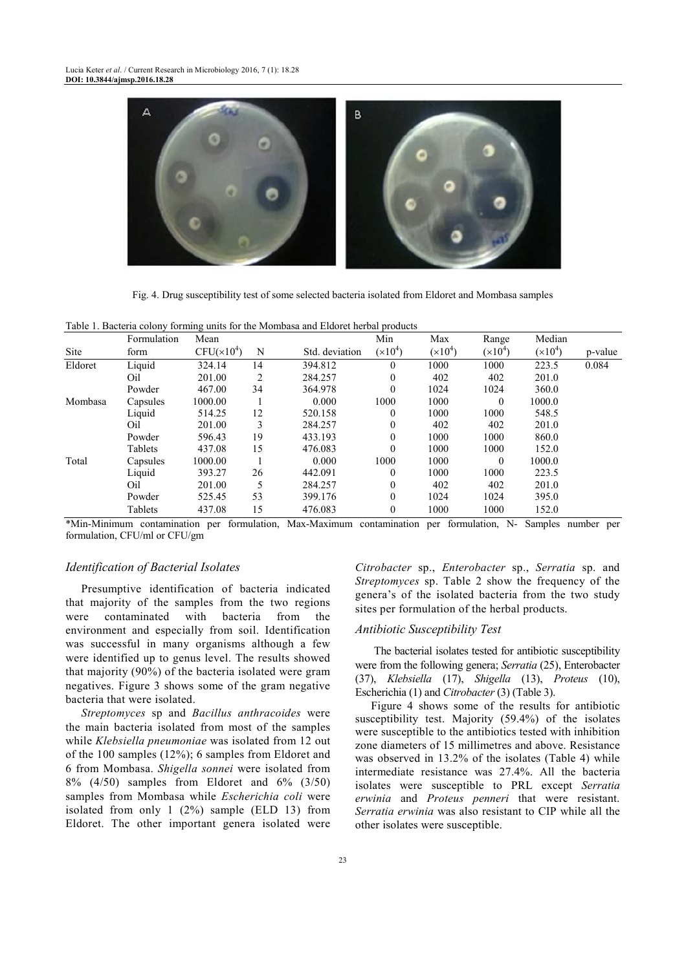

Fig. 4. Drug susceptibility test of some selected bacteria isolated from Eldoret and Mombasa samples

|         | Formulation | Mean                   |    |                | Min          | Max       | Range     | Median    |         |
|---------|-------------|------------------------|----|----------------|--------------|-----------|-----------|-----------|---------|
| Site    | form        | CFU(x10 <sup>4</sup> ) | N  | Std. deviation | $(x10^4)$    | $(x10^4)$ | $(x10^4)$ | $(x10^4)$ | p-value |
| Eldoret | Liquid      | 324.14                 | 14 | 394.812        | $\Omega$     | 1000      | 1000      | 223.5     | 0.084   |
|         | Oil         | 201.00                 | 2  | 284.257        | $\theta$     | 402       | 402       | 201.0     |         |
|         | Powder      | 467.00                 | 34 | 364.978        | $\theta$     | 1024      | 1024      | 360.0     |         |
| Mombasa | Capsules    | 1000.00                |    | 0.000          | 1000         | 1000      | $\theta$  | 1000.0    |         |
|         | Liquid      | 514.25                 | 12 | 520.158        | $\theta$     | 1000      | 1000      | 548.5     |         |
|         | Oil         | 201.00                 | 3  | 284.257        | $\Omega$     | 402       | 402       | 201.0     |         |
|         | Powder      | 596.43                 | 19 | 433.193        | $\theta$     | 1000      | 1000      | 860.0     |         |
|         | Tablets     | 437.08                 | 15 | 476.083        | $\theta$     | 1000      | 1000      | 152.0     |         |
| Total   | Capsules    | 1000.00                |    | 0.000          | 1000         | 1000      | $\theta$  | 1000.0    |         |
|         | Liquid      | 393.27                 | 26 | 442.091        | $\Omega$     | 1000      | 1000      | 223.5     |         |
|         | Oil         | 201.00                 |    | 284.257        | $\mathbf{0}$ | 402       | 402       | 201.0     |         |
|         | Powder      | 525.45                 | 53 | 399.176        | $\theta$     | 1024      | 1024      | 395.0     |         |
|         | Tablets     | 437.08                 | 15 | 476.083        | $\theta$     | 1000      | 1000      | 152.0     |         |

Table 1. Bacteria colony forming units for the Mombasa and Eldoret herbal products

\*Min-Minimum contamination per formulation, Max-Maximum contamination per formulation, N- Samples number per formulation, CFU/ml or CFU/gm

## *Identification of Bacterial Isolates*

Presumptive identification of bacteria indicated that majority of the samples from the two regions were contaminated with bacteria from the environment and especially from soil. Identification was successful in many organisms although a few were identified up to genus level. The results showed that majority (90%) of the bacteria isolated were gram negatives. Figure 3 shows some of the gram negative bacteria that were isolated.

*Streptomyces* sp and *Bacillus anthracoides* were the main bacteria isolated from most of the samples while *Klebsiella pneumoniae* was isolated from 12 out of the 100 samples (12%); 6 samples from Eldoret and 6 from Mombasa. *Shigella sonnei* were isolated from 8% (4/50) samples from Eldoret and 6% (3/50) samples from Mombasa while *Escherichia coli* were isolated from only 1 (2%) sample (ELD 13) from Eldoret. The other important genera isolated were

*Citrobacter* sp., *Enterobacter* sp., *Serratia* sp. and *Streptomyces* sp. Table 2 show the frequency of the genera's of the isolated bacteria from the two study sites per formulation of the herbal products.

#### *Antibiotic Susceptibility Test*

 The bacterial isolates tested for antibiotic susceptibility were from the following genera; *Serratia* (25), Enterobacter (37), *Klebsiella* (17), *Shigella* (13), *Proteus* (10), Escherichia (1) and *Citrobacter* (3) (Table 3).

Figure 4 shows some of the results for antibiotic susceptibility test. Majority (59.4%) of the isolates were susceptible to the antibiotics tested with inhibition zone diameters of 15 millimetres and above. Resistance was observed in 13.2% of the isolates (Table 4) while intermediate resistance was 27.4%. All the bacteria isolates were susceptible to PRL except *Serratia erwinia* and *Proteus penneri* that were resistant. *Serratia erwinia* was also resistant to CIP while all the other isolates were susceptible.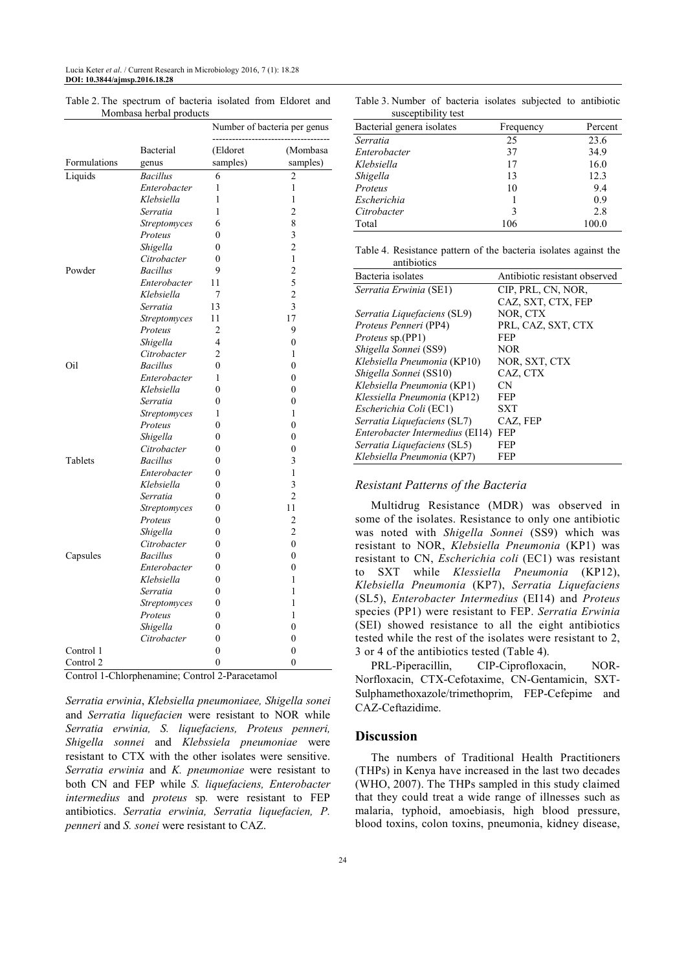|              |                     |                | Number of bacteria per genus |  |
|--------------|---------------------|----------------|------------------------------|--|
|              | Bacterial           | (Eldoret       | (Mombasa<br>samples)         |  |
| Formulations | genus               | samples)       |                              |  |
| Liquids      | <b>Bacillus</b>     | 6              | $\overline{2}$               |  |
|              | Enterobacter        | 1              | 1                            |  |
|              | Klebsiella          | 1              | 1                            |  |
|              | Serratia            | 1              | $\overline{2}$               |  |
|              | Streptomyces        | 6              | 8                            |  |
|              | Proteus             | 0              | 3                            |  |
|              | Shigella            | $\overline{0}$ | $\overline{c}$               |  |
|              | Citrobacter         | 0              | 1                            |  |
| Powder       | <b>Bacillus</b>     | 9              | $\overline{c}$               |  |
|              | Enterobacter        | 11             | 5                            |  |
|              | Klebsiella          | 7              | $\overline{c}$               |  |
|              | Serratia            | 13             | $\overline{\mathbf{3}}$      |  |
|              | <b>Streptomyces</b> | 11             | 17                           |  |
|              | Proteus             | 2              | 9                            |  |
|              | Shigella            | 4              | $\overline{0}$               |  |
|              | Citrobacter         | 2              | 1                            |  |
| Oil          | <b>Bacillus</b>     | 0              | $\theta$                     |  |
|              | Enterobacter        | 1              | 0                            |  |
|              | Klebsiella          | $\theta$       | $\theta$                     |  |
|              | Serratia            | 0              | 0                            |  |
|              | <b>Streptomyces</b> | 1              | 1                            |  |
|              | Proteus             | $\overline{0}$ | 0                            |  |
|              | Shigella            | 0              | 0                            |  |
|              | Citrobacter         | 0              | 0                            |  |
| Tablets      | <b>Bacillus</b>     | 0              | 3                            |  |
|              | Enterobacter        | 0              | 1                            |  |
|              | Klebsiella          | 0              | 3                            |  |
|              | Serratia            | 0              | $\overline{c}$               |  |
|              | <b>Streptomyces</b> | 0              | 11                           |  |
|              | Proteus             | 0              | 2                            |  |
|              | Shigella            | 0              | $\overline{2}$               |  |
|              | Citrobacter         | 0              | $\theta$                     |  |
| Capsules     | <b>Bacillus</b>     | 0              | $\overline{0}$               |  |
|              | Enterobacter        | 0              | 0                            |  |
|              | Klebsiella          | 0              | 1                            |  |
|              | Serratia            | 0              | 1                            |  |
|              | Streptomyces        | 0              | 1                            |  |
|              | Proteus             | 0              | 1                            |  |
|              | Shigella            | 0              | $\overline{0}$               |  |
|              | Citrobacter         | 0              | 0                            |  |
| Control 1    |                     | $\overline{0}$ | 0                            |  |
| Control 2    |                     | $\overline{0}$ | $\overline{0}$               |  |

Table 2. The spectrum of bacteria isolated from Eldoret and Mombasa herbal products

Control 1-Chlorphenamine; Control 2-Paracetamol

*Serratia erwinia*, *Klebsiella pneumoniaee, Shigella sonei* and *Serratia liquefacien* were resistant to NOR while *Serratia erwinia, S. liquefaciens, Proteus penneri, Shigella sonnei* and *Klebssiela pneumoniae* were resistant to CTX with the other isolates were sensitive. *Serratia erwinia* and *K. pneumoniae* were resistant to both CN and FEP while *S. liquefaciens, Enterobacter intermedius* and *proteus* sp*.* were resistant to FEP antibiotics. *Serratia erwinia, Serratia liquefacien, P. penneri* and *S. sonei* were resistant to CAZ.

Table 3. Number of bacteria isolates subjected to antibiotic susceptibility test

| Bacterial genera isolates | Frequency | Percent |  |
|---------------------------|-----------|---------|--|
| Serratia                  | 25        | 23.6    |  |
| Enterobacter              | 37        | 34.9    |  |
| Klebsiella                | 17        | 16.0    |  |
| Shigella                  | 13        | 12.3    |  |
| Proteus                   | 10        | 9.4     |  |
| Escherichia               |           | 0.9     |  |
| Citrobacter               | 3         | 2.8     |  |
| Total                     | 106       | 100.0   |  |

Table 4. Resistance pattern of the bacteria isolates against the antibiotics

| Bacteria isolates               | Antibiotic resistant observed |
|---------------------------------|-------------------------------|
| Serratia Erwinia (SE1)          | CIP, PRL, CN, NOR,            |
|                                 | CAZ, SXT, CTX, FEP            |
| Serratia Liquefaciens (SL9)     | NOR, CTX                      |
| Proteus Penneri (PP4)           | PRL, CAZ, SXT, CTX            |
| <i>Proteus</i> sp.(PP1)         | FEP                           |
| Shigella Sonnei (SS9)           | NOR                           |
| Klebsiella Pneumonia (KP10)     | NOR, SXT, CTX                 |
| Shigella Sonnei (SS10)          | CAZ, CTX                      |
| Klebsiella Pneumonia (KP1)      | CΝ                            |
| Klessiella Pneumonia (KP12)     | FEP                           |
| <i>Escherichia Coli</i> (EC1)   | SXT                           |
| Serratia Liquefaciens (SL7)     | CAZ, FEP                      |
| Enterobacter Intermedius (EI14) | FEP                           |
| Serratia Liquefaciens (SL5)     | FEP                           |
| Klebsiella Pneumonia (KP7)      | FEP                           |

## *Resistant Patterns of the Bacteria*

Multidrug Resistance (MDR) was observed in some of the isolates. Resistance to only one antibiotic was noted with *Shigella Sonnei* (SS9) which was resistant to NOR, *Klebsiella Pneumonia* (KP1) was resistant to CN, *Escherichia coli* (EC1) was resistant to SXT while *Klessiella Pneumonia* (KP12), *Klebsiella Pneumonia* (KP7), *Serratia Liquefaciens*  (SL5), *Enterobacter Intermedius* (EI14) and *Proteus* species (PP1) were resistant to FEP. *Serratia Erwinia*  (SEI) showed resistance to all the eight antibiotics tested while the rest of the isolates were resistant to 2, 3 or 4 of the antibiotics tested (Table 4).

PRL-Piperacillin, CIP-Ciprofloxacin, NOR-Norfloxacin, CTX-Cefotaxime, CN-Gentamicin, SXT-Sulphamethoxazole/trimethoprim, FEP-Cefepime and CAZ-Ceftazidime.

## **Discussion**

The numbers of Traditional Health Practitioners (THPs) in Kenya have increased in the last two decades (WHO, 2007). The THPs sampled in this study claimed that they could treat a wide range of illnesses such as malaria, typhoid, amoebiasis, high blood pressure, blood toxins, colon toxins, pneumonia, kidney disease,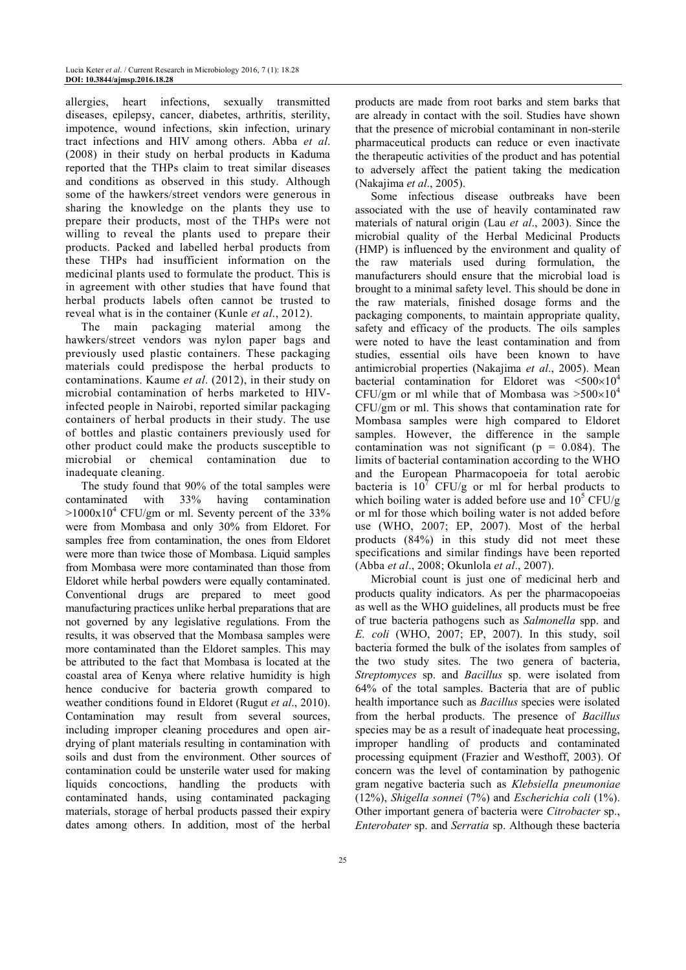allergies, heart infections, sexually transmitted diseases, epilepsy, cancer, diabetes, arthritis, sterility, impotence, wound infections, skin infection, urinary tract infections and HIV among others. Abba *et al*. (2008) in their study on herbal products in Kaduma reported that the THPs claim to treat similar diseases and conditions as observed in this study. Although some of the hawkers/street vendors were generous in sharing the knowledge on the plants they use to prepare their products, most of the THPs were not willing to reveal the plants used to prepare their products. Packed and labelled herbal products from these THPs had insufficient information on the medicinal plants used to formulate the product. This is in agreement with other studies that have found that herbal products labels often cannot be trusted to reveal what is in the container (Kunle *et al*., 2012).

The main packaging material among the hawkers/street vendors was nylon paper bags and previously used plastic containers. These packaging materials could predispose the herbal products to contaminations. Kaume *et al*. (2012), in their study on microbial contamination of herbs marketed to HIVinfected people in Nairobi, reported similar packaging containers of herbal products in their study. The use of bottles and plastic containers previously used for other product could make the products susceptible to microbial or chemical contamination due to inadequate cleaning.

The study found that 90% of the total samples were contaminated with 33% having contamination  $>1000x10^4$  CFU/gm or ml. Seventy percent of the 33% were from Mombasa and only 30% from Eldoret. For samples free from contamination, the ones from Eldoret were more than twice those of Mombasa. Liquid samples from Mombasa were more contaminated than those from Eldoret while herbal powders were equally contaminated. Conventional drugs are prepared to meet good manufacturing practices unlike herbal preparations that are not governed by any legislative regulations. From the results, it was observed that the Mombasa samples were more contaminated than the Eldoret samples. This may be attributed to the fact that Mombasa is located at the coastal area of Kenya where relative humidity is high hence conducive for bacteria growth compared to weather conditions found in Eldoret (Rugut *et al*., 2010). Contamination may result from several sources, including improper cleaning procedures and open airdrying of plant materials resulting in contamination with soils and dust from the environment. Other sources of contamination could be unsterile water used for making liquids concoctions, handling the products with contaminated hands, using contaminated packaging materials, storage of herbal products passed their expiry dates among others. In addition, most of the herbal

products are made from root barks and stem barks that are already in contact with the soil. Studies have shown that the presence of microbial contaminant in non-sterile pharmaceutical products can reduce or even inactivate the therapeutic activities of the product and has potential to adversely affect the patient taking the medication (Nakajima *et al*., 2005).

Some infectious disease outbreaks have been associated with the use of heavily contaminated raw materials of natural origin (Lau *et al*., 2003). Since the microbial quality of the Herbal Medicinal Products (HMP) is influenced by the environment and quality of the raw materials used during formulation, the manufacturers should ensure that the microbial load is brought to a minimal safety level. This should be done in the raw materials, finished dosage forms and the packaging components, to maintain appropriate quality, safety and efficacy of the products. The oils samples were noted to have the least contamination and from studies, essential oils have been known to have antimicrobial properties (Nakajima *et al*., 2005). Mean bacterial contamination for Eldoret was  $\leq 500 \times 10^4$ CFU/gm or ml while that of Mombasa was  $>500\times10^4$ CFU/gm or ml. This shows that contamination rate for Mombasa samples were high compared to Eldoret samples. However, the difference in the sample contamination was not significant ( $p = 0.084$ ). The limits of bacterial contamination according to the WHO and the European Pharmacopoeia for total aerobic bacteria is  $10^7$  CFU/g or ml for herbal products to which boiling water is added before use and  $10^5$  CFU/g or ml for those which boiling water is not added before use (WHO, 2007; EP, 2007). Most of the herbal products (84%) in this study did not meet these specifications and similar findings have been reported (Abba *et al*., 2008; Okunlola *et al*., 2007).

Microbial count is just one of medicinal herb and products quality indicators. As per the pharmacopoeias as well as the WHO guidelines, all products must be free of true bacteria pathogens such as *Salmonella* spp. and *E. coli* (WHO, 2007; EP, 2007). In this study, soil bacteria formed the bulk of the isolates from samples of the two study sites. The two genera of bacteria, *Streptomyces* sp. and *Bacillus* sp. were isolated from 64% of the total samples. Bacteria that are of public health importance such as *Bacillus* species were isolated from the herbal products. The presence of *Bacillus*  species may be as a result of inadequate heat processing, improper handling of products and contaminated processing equipment (Frazier and Westhoff, 2003). Of concern was the level of contamination by pathogenic gram negative bacteria such as *Klebsiella pneumoniae*  (12%), *Shigella sonnei* (7%) and *Escherichia coli* (1%). Other important genera of bacteria were *Citrobacter* sp., *Enterobater* sp. and *Serratia* sp. Although these bacteria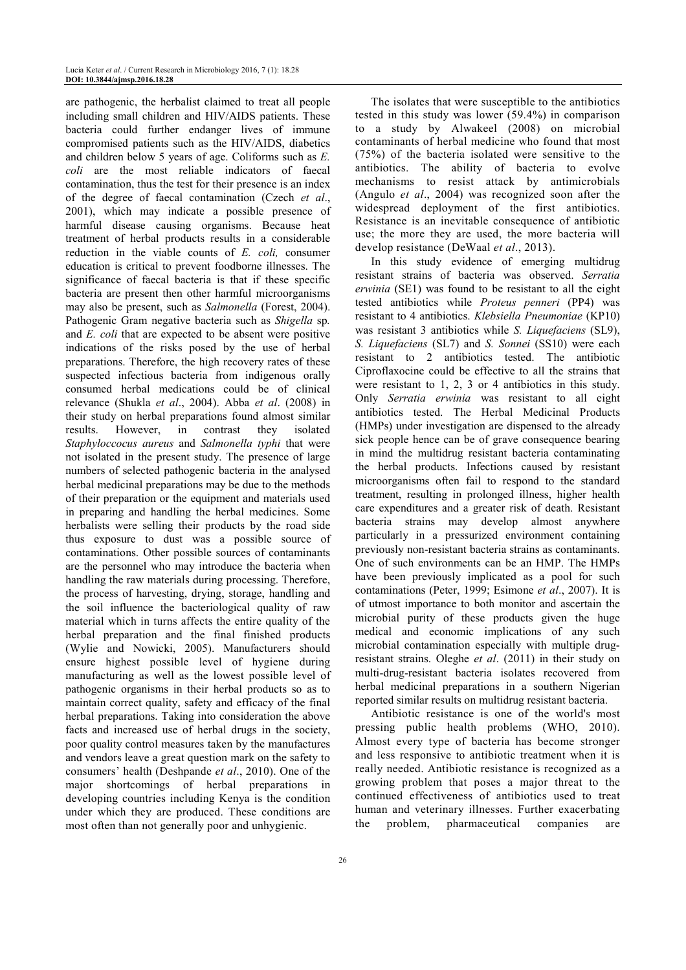are pathogenic, the herbalist claimed to treat all people including small children and HIV/AIDS patients. These bacteria could further endanger lives of immune compromised patients such as the HIV/AIDS, diabetics and children below 5 years of age. Coliforms such as *E. coli* are the most reliable indicators of faecal contamination, thus the test for their presence is an index of the degree of faecal contamination (Czech *et al*., 2001), which may indicate a possible presence of harmful disease causing organisms. Because heat treatment of herbal products results in a considerable reduction in the viable counts of *E. coli,* consumer education is critical to prevent foodborne illnesses. The significance of faecal bacteria is that if these specific bacteria are present then other harmful microorganisms may also be present, such as *Salmonella* (Forest, 2004). Pathogenic Gram negative bacteria such as *Shigella* sp*.* and *E. coli* that are expected to be absent were positive indications of the risks posed by the use of herbal preparations. Therefore, the high recovery rates of these suspected infectious bacteria from indigenous orally consumed herbal medications could be of clinical relevance (Shukla *et al*., 2004). Abba *et al*. (2008) in their study on herbal preparations found almost similar results. However, in contrast they isolated *Staphyloccocus aureus* and *Salmonella typhi* that were not isolated in the present study. The presence of large numbers of selected pathogenic bacteria in the analysed herbal medicinal preparations may be due to the methods of their preparation or the equipment and materials used in preparing and handling the herbal medicines. Some herbalists were selling their products by the road side thus exposure to dust was a possible source of contaminations. Other possible sources of contaminants are the personnel who may introduce the bacteria when handling the raw materials during processing. Therefore, the process of harvesting, drying, storage, handling and the soil influence the bacteriological quality of raw material which in turns affects the entire quality of the herbal preparation and the final finished products (Wylie and Nowicki, 2005). Manufacturers should ensure highest possible level of hygiene during manufacturing as well as the lowest possible level of pathogenic organisms in their herbal products so as to maintain correct quality, safety and efficacy of the final herbal preparations. Taking into consideration the above facts and increased use of herbal drugs in the society, poor quality control measures taken by the manufactures and vendors leave a great question mark on the safety to consumers' health (Deshpande *et al*., 2010). One of the major shortcomings of herbal preparations in developing countries including Kenya is the condition under which they are produced. These conditions are most often than not generally poor and unhygienic.

The isolates that were susceptible to the antibiotics tested in this study was lower (59.4%) in comparison to a study by Alwakeel (2008) on microbial contaminants of herbal medicine who found that most (75%) of the bacteria isolated were sensitive to the antibiotics. The ability of bacteria to evolve mechanisms to resist attack by antimicrobials (Angulo *et al*., 2004) was recognized soon after the widespread deployment of the first antibiotics. Resistance is an inevitable consequence of antibiotic use; the more they are used, the more bacteria will develop resistance (DeWaal *et al*., 2013).

In this study evidence of emerging multidrug resistant strains of bacteria was observed. *Serratia erwinia* (SE1) was found to be resistant to all the eight tested antibiotics while *Proteus penneri* (PP4) was resistant to 4 antibiotics. *Klebsiella Pneumoniae* (KP10) was resistant 3 antibiotics while *S. Liquefaciens* (SL9), *S. Liquefaciens* (SL7) and *S. Sonnei* (SS10) were each resistant to 2 antibiotics tested. The antibiotic Ciproflaxocine could be effective to all the strains that were resistant to 1, 2, 3 or 4 antibiotics in this study. Only *Serratia erwinia* was resistant to all eight antibiotics tested. The Herbal Medicinal Products (HMPs) under investigation are dispensed to the already sick people hence can be of grave consequence bearing in mind the multidrug resistant bacteria contaminating the herbal products. Infections caused by resistant microorganisms often fail to respond to the standard treatment, resulting in prolonged illness, higher health care expenditures and a greater risk of death. Resistant bacteria strains may develop almost anywhere particularly in a pressurized environment containing previously non-resistant bacteria strains as contaminants. One of such environments can be an HMP. The HMPs have been previously implicated as a pool for such contaminations (Peter, 1999; Esimone *et al*., 2007). It is of utmost importance to both monitor and ascertain the microbial purity of these products given the huge medical and economic implications of any such microbial contamination especially with multiple drugresistant strains. Oleghe *et al*. (2011) in their study on multi-drug-resistant bacteria isolates recovered from herbal medicinal preparations in a southern Nigerian reported similar results on multidrug resistant bacteria.

Antibiotic resistance is one of the world's most pressing public health problems (WHO, 2010). Almost every type of bacteria has become stronger and less responsive to antibiotic treatment when it is really needed. Antibiotic resistance is recognized as a growing problem that poses a major threat to the continued effectiveness of antibiotics used to treat human and veterinary illnesses. Further exacerbating the problem, pharmaceutical companies are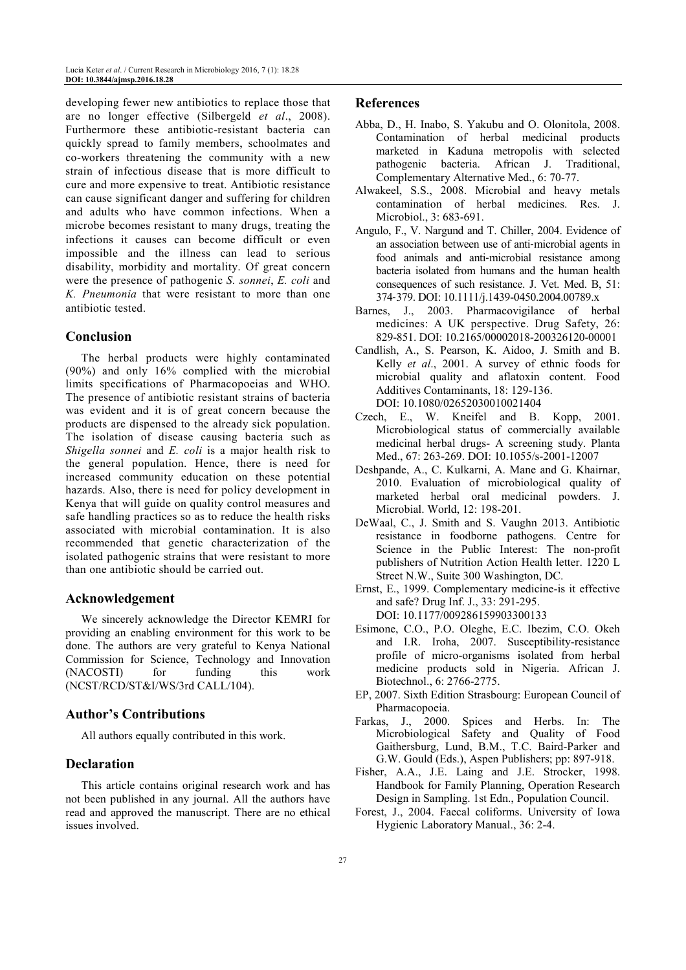developing fewer new antibiotics to replace those that are no longer effective (Silbergeld *et al*., 2008). Furthermore these antibiotic-resistant bacteria can quickly spread to family members, schoolmates and co-workers threatening the community with a new strain of infectious disease that is more difficult to cure and more expensive to treat. Antibiotic resistance can cause significant danger and suffering for children and adults who have common infections. When a microbe becomes resistant to many drugs, treating the infections it causes can become difficult or even impossible and the illness can lead to serious disability, morbidity and mortality. Of great concern were the presence of pathogenic *S. sonnei*, *E. coli* and *K. Pneumonia* that were resistant to more than one antibiotic tested.

# **Conclusion**

The herbal products were highly contaminated (90%) and only 16% complied with the microbial limits specifications of Pharmacopoeias and WHO. The presence of antibiotic resistant strains of bacteria was evident and it is of great concern because the products are dispensed to the already sick population. The isolation of disease causing bacteria such as *Shigella sonnei* and *E. coli* is a major health risk to the general population. Hence, there is need for increased community education on these potential hazards. Also, there is need for policy development in Kenya that will guide on quality control measures and safe handling practices so as to reduce the health risks associated with microbial contamination. It is also recommended that genetic characterization of the isolated pathogenic strains that were resistant to more than one antibiotic should be carried out.

## **Acknowledgement**

We sincerely acknowledge the Director KEMRI for providing an enabling environment for this work to be done. The authors are very grateful to Kenya National Commission for Science, Technology and Innovation (NACOSTI) for funding this work (NCST/RCD/ST&I/WS/3rd CALL/104).

## **Author's Contributions**

All authors equally contributed in this work.

# **Declaration**

This article contains original research work and has not been published in any journal. All the authors have read and approved the manuscript. There are no ethical issues involved.

## **References**

- Abba, D., H. Inabo, S. Yakubu and O. Olonitola, 2008. Contamination of herbal medicinal products marketed in Kaduna metropolis with selected pathogenic bacteria. African J. Traditional, Complementary Alternative Med., 6: 70-77.
- Alwakeel, S.S., 2008. Microbial and heavy metals contamination of herbal medicines. Res. J. Microbiol., 3: 683-691.
- Angulo, F., V. Nargund and T. Chiller, 2004. Evidence of an association between use of anti‐microbial agents in food animals and anti-microbial resistance among bacteria isolated from humans and the human health consequences of such resistance. J. Vet. Med. B, 51: 374‐379. DOI: 10.1111/j.1439-0450.2004.00789.x
- Barnes, J., 2003. Pharmacovigilance of herbal medicines: A UK perspective. Drug Safety, 26: 829-851. DOI: 10.2165/00002018-200326120-00001
- Candlish, A., S. Pearson, K. Aidoo, J. Smith and B. Kelly *et al*., 2001. A survey of ethnic foods for microbial quality and aflatoxin content. Food Additives Contaminants, 18: 129-136. DOI: 10.1080/02652030010021404
- Czech, E., W. Kneifel and B. Kopp, 2001. Microbiological status of commercially available medicinal herbal drugs- A screening study. Planta Med., 67: 263-269. DOI: 10.1055/s-2001-12007
- Deshpande, A., C. Kulkarni, A. Mane and G. Khairnar, 2010. Evaluation of microbiological quality of marketed herbal oral medicinal powders. J. Microbial. World, 12: 198-201.
- DeWaal, C., J. Smith and S. Vaughn 2013. Antibiotic resistance in foodborne pathogens. Centre for Science in the Public Interest: The non-profit publishers of Nutrition Action Health letter. 1220 L Street N.W., Suite 300 Washington, DC.
- Ernst, E., 1999. Complementary medicine-is it effective and safe? Drug Inf. J., 33: 291-295. DOI: 10.1177/009286159903300133
- Esimone, C.O., P.O. Oleghe, E.C. Ibezim, C.O. Okeh and I.R. Iroha, 2007. Susceptibility-resistance profile of micro-organisms isolated from herbal medicine products sold in Nigeria. African J. Biotechnol., 6: 2766-2775.
- EP, 2007. Sixth Edition Strasbourg: European Council of Pharmacopoeia.
- Farkas, J., 2000. Spices and Herbs. In: The Microbiological Safety and Quality of Food Gaithersburg, Lund, B.M., T.C. Baird-Parker and G.W. Gould (Eds.), Aspen Publishers; pp: 897-918.
- Fisher, A.A., J.E. Laing and J.E. Strocker, 1998. Handbook for Family Planning, Operation Research Design in Sampling. 1st Edn., Population Council.
- Forest, J., 2004. Faecal coliforms. University of Iowa Hygienic Laboratory Manual., 36: 2-4.